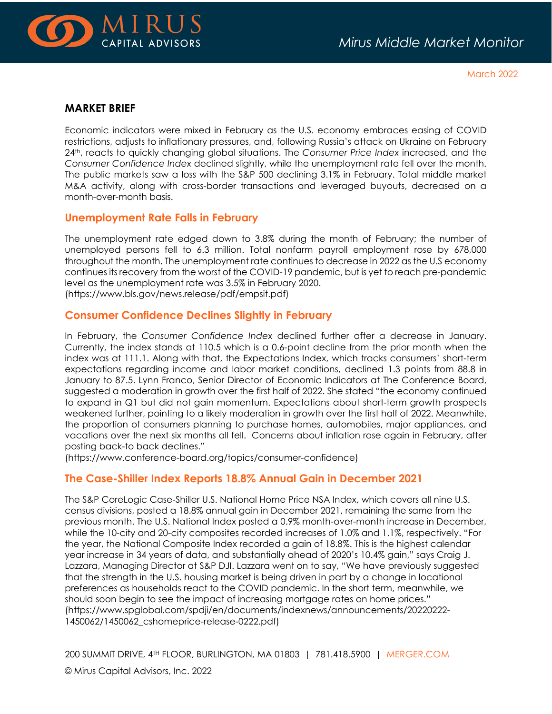

March 2022

## **MARKET BRIEF**

Economic indicators were mixed in February as the U.S. economy embraces easing of COVID restrictions, adjusts to inflationary pressures, and, following Russia's attack on Ukraine on February 24th, reacts to quickly changing global situations. The *Consumer Price Index* increased, and the *Consumer Confidence Index* declined slightly, while the unemployment rate fell over the month. The public markets saw a loss with the S&P 500 declining 3.1% in February. Total middle market M&A activity, along with cross-border transactions and leveraged buyouts, decreased on a month-over-month basis.

## **Unemployment Rate Falls in February**

The unemployment rate edged down to 3.8% during the month of February; the number of unemployed persons fell to 6.3 million. Total nonfarm payroll employment rose by 678,000 throughout the month. The unemployment rate continues to decrease in 2022 as the U.S economy continues its recovery from the worst of the COVID-19 pandemic, but is yet to reach pre-pandemic level as the unemployment rate was 3.5% in February 2020. (https://www.bls.gov/news.release/pdf/empsit.pdf)

## **Consumer Confidence Declines Slightly in February**

In February, the *Consumer Confidence Index* declined further after a decrease in January. Currently, the index stands at 110.5 which is a 0.6-point decline from the prior month when the index was at 111.1. Along with that, the Expectations Index, which tracks consumers' short-term expectations regarding income and labor market conditions, declined 1.3 points from 88.8 in January to 87.5. Lynn Franco, Senior Director of Economic Indicators at The Conference Board, suggested a moderation in growth over the first half of 2022. She stated "the economy continued to expand in Q1 but did not gain momentum. Expectations about short-term growth prospects weakened further, pointing to a likely moderation in growth over the first half of 2022. Meanwhile, the proportion of consumers planning to purchase homes, automobiles, major appliances, and vacations over the next six months all fell. Concerns about inflation rose again in February, after posting back-to back declines."

(https://www.conference-board.org/topics/consumer-confidence)

# **The Case-Shiller Index Reports 18.8% Annual Gain in December 2021**

The S&P CoreLogic Case-Shiller U.S. National Home Price NSA Index, which covers all nine U.S. census divisions, posted a 18.8% annual gain in December 2021, remaining the same from the previous month. The U.S. National Index posted a 0.9% month-over-month increase in December, while the 10-city and 20-city composites recorded increases of 1.0% and 1.1%, respectively. "For the year, the National Composite Index recorded a gain of 18.8%. This is the highest calendar year increase in 34 years of data, and substantially ahead of 2020's 10.4% gain," says Craig J. Lazzara, Managing Director at S&P DJI. Lazzara went on to say, "We have previously suggested that the strength in the U.S. housing market is being driven in part by a change in locational preferences as households react to the COVID pandemic. In the short term, meanwhile, we should soon begin to see the impact of increasing mortgage rates on home prices." (https://www.spglobal.com/spdji/en/documents/indexnews/announcements/20220222- 1450062/1450062\_cshomeprice-release-0222.pdf)

200 SUMMIT DRIVE, 4TH FLOOR, BURLINGTON, MA 01803 | 781.418.5900 | [MERGER.COM](http://www.merger.com/)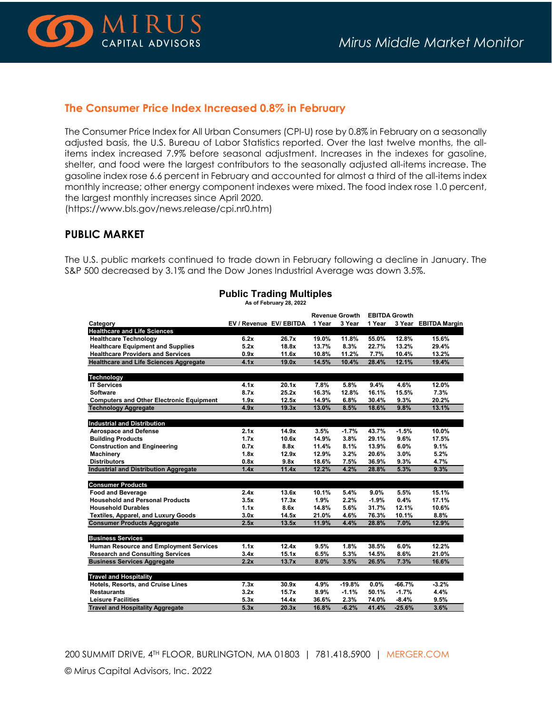

#### **The Consumer Price Index Increased 0.8% in February**

The Consumer Price Index for All Urban Consumers (CPI-U) rose by 0.8% in February on a seasonally adjusted basis, the U.S. Bureau of Labor Statistics reported. Over the last twelve months, the allitems index increased 7.9% before seasonal adjustment. Increases in the indexes for gasoline, shelter, and food were the largest contributors to the seasonally adjusted all-items increase. The gasoline index rose 6.6 percent in February and accounted for almost a third of the all-items index monthly increase; other energy component indexes were mixed. The food index rose 1.0 percent, the largest monthly increases since April 2020.

(https://www.bls.gov/news.release/cpi.nr0.htm)

#### **PUBLIC MARKET**

The U.S. public markets continued to trade down in February following a decline in January. The S&P 500 decreased by 3.1% and the Dow Jones Industrial Average was down 3.5%.

|                                                 |                         |       | <b>Revenue Growth</b> |          | <b>EBITDA Growth</b> |          |                      |
|-------------------------------------------------|-------------------------|-------|-----------------------|----------|----------------------|----------|----------------------|
| Category                                        | EV / Revenue EV/ EBITDA |       | 1 Year                | 3 Year   | 1 Year               |          | 3 Year EBITDA Margin |
| <b>Healthcare and Life Sciences</b>             |                         |       |                       |          |                      |          |                      |
| <b>Healthcare Technology</b>                    | 6.2x                    | 26.7x | 19.0%                 | 11.8%    | 55.0%                | 12.8%    | 15.6%                |
| <b>Healthcare Equipment and Supplies</b>        | 5.2x                    | 18.8x | 13.7%                 | 8.3%     | 22.7%                | 13.2%    | 29.4%                |
| <b>Healthcare Providers and Services</b>        | 0.9x                    | 11.6x | 10.8%                 | 11.2%    | 7.7%                 | 10.4%    | 13.2%                |
| <b>Healthcare and Life Sciences Aggregate</b>   | 4.1x                    | 19.0x | 14.5%                 | 10.4%    | 28.4%                | 12.1%    | 19.4%                |
| Technology                                      |                         |       |                       |          |                      |          |                      |
| <b>IT Services</b>                              | 4.1x                    | 20.1x | 7.8%                  | 5.8%     | 9.4%                 | 4.6%     | 12.0%                |
| <b>Software</b>                                 | 8.7x                    | 25.2x | 16.3%                 | 12.8%    | 16.1%                | 15.5%    | 7.3%                 |
| <b>Computers and Other Electronic Equipment</b> | 1.9x                    | 12.5x | 14.9%                 | 6.8%     | 30.4%                | 9.3%     | 20.2%                |
| <b>Technology Aggregate</b>                     | 4.9x                    | 19.3x | 13.0%                 | 8.5%     | 18.6%                | 9.8%     | 13.1%                |
| <b>Industrial and Distribution</b>              |                         |       |                       |          |                      |          |                      |
| <b>Aerospace and Defense</b>                    | 2.1x                    | 14.9x | 3.5%                  | $-1.7%$  | 43.7%                | $-1.5%$  | 10.0%                |
| <b>Building Products</b>                        | 1.7x                    | 10.6x | 14.9%                 | 3.8%     | 29.1%                | 9.6%     | 17.5%                |
| <b>Construction and Engineering</b>             | 0.7x                    | 8.8x  | 11.4%                 | 8.1%     | 13.9%                | 6.0%     | 9.1%                 |
| <b>Machinery</b>                                | 1.8x                    | 12.9x | 12.9%                 | 3.2%     | 20.6%                | 3.0%     | 5.2%                 |
| <b>Distributors</b>                             | 0.8x                    | 9.8x  | 18.6%                 | 7.5%     | 36.9%                | 9.3%     | 4.7%                 |
| <b>Industrial and Distribution Aggregate</b>    | 1.4x                    | 11.4x | 12.2%                 | 4.2%     | 28.8%                | 5.3%     | 9.3%                 |
| <b>Consumer Products</b>                        |                         |       |                       |          |                      |          |                      |
| <b>Food and Beverage</b>                        | 2.4x                    | 13.6x | 10.1%                 | 5.4%     | 9.0%                 | 5.5%     | 15.1%                |
| <b>Household and Personal Products</b>          | 3.5x                    | 17.3x | 1.9%                  | 2.2%     | $-1.9%$              | 0.4%     | 17.1%                |
| <b>Household Durables</b>                       | 1.1x                    | 8.6x  | 14.8%                 | 5.6%     | 31.7%                | 12.1%    | 10.6%                |
| <b>Textiles, Apparel, and Luxury Goods</b>      | 3.0x                    | 14.5x | 21.0%                 | 4.6%     | 76.3%                | 10.1%    | 8.8%                 |
| <b>Consumer Products Aggregate</b>              | 2.5x                    | 13.5x | 11.9%                 | 4.4%     | 28.8%                | 7.0%     | 12.9%                |
| <b>Business Services</b>                        |                         |       |                       |          |                      |          |                      |
|                                                 | 1.1x                    | 12.4x | 9.5%                  | 1.8%     | 38.5%                | 6.0%     | 12.2%                |
| <b>Human Resource and Employment Services</b>   |                         |       |                       |          |                      |          |                      |
| <b>Research and Consulting Services</b>         | 3.4x                    | 15.1x | 6.5%                  | 5.3%     | 14.5%                | 8.6%     | 21.0%                |
| <b>Business Services Aggregate</b>              | 2.2x                    | 13.7x | 8.0%                  | 3.5%     | 26.5%                | 7.3%     | 16.6%                |
| <b>Travel and Hospitality</b>                   |                         |       |                       |          |                      |          |                      |
| Hotels, Resorts, and Cruise Lines               | 7.3x                    | 30.9x | 4.9%                  | $-19.8%$ | 0.0%                 | $-66.7%$ | $-3.2%$              |
| <b>Restaurants</b>                              | 3.2x                    | 15.7x | 8.9%                  | $-1.1%$  | 50.1%                | $-1.7%$  | 4.4%                 |
| <b>Leisure Facilities</b>                       | 5.3x                    | 14.4x | 36.6%                 | 2.3%     | 74.0%                | $-8.4%$  | 9.5%                 |
| <b>Travel and Hospitality Aggregate</b>         | 5.3x                    | 20.3x | 16.8%                 | $-6.2%$  | 41.4%                | $-25.6%$ | 3.6%                 |

#### **Public Trading Multiples As of February 28, 2022**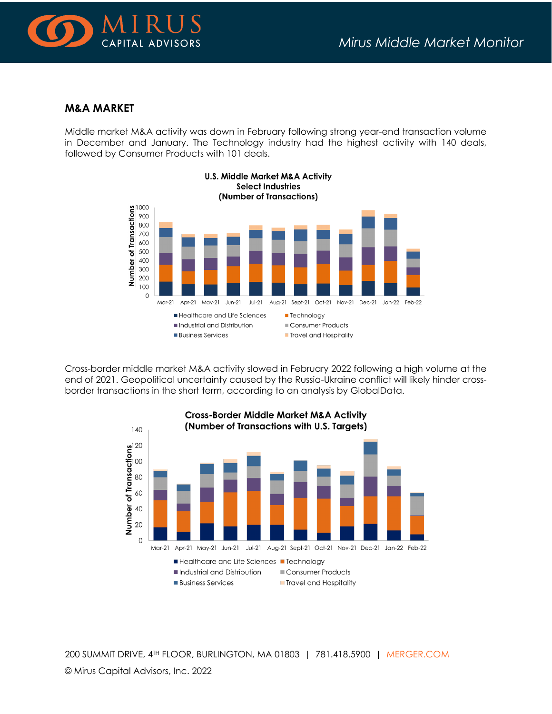

## **M&A MARKET**

Middle market M&A activity was down in February following strong year-end transaction volume in December and January. The Technology industry had the highest activity with 140 deals, followed by Consumer Products with 101 deals.



Cross-border middle market M&A activity slowed in February 2022 following a high volume at the end of 2021. Geopolitical uncertainty caused by the Russia-Ukraine conflict will likely hinder crossborder transactions in the short term, according to an analysis by GlobalData.



200 SUMMIT DRIVE, 4TH FLOOR, BURLINGTON, MA 01803 | 781.418.5900 | [MERGER.COM](http://www.merger.com/) © Mirus Capital Advisors, Inc. 2022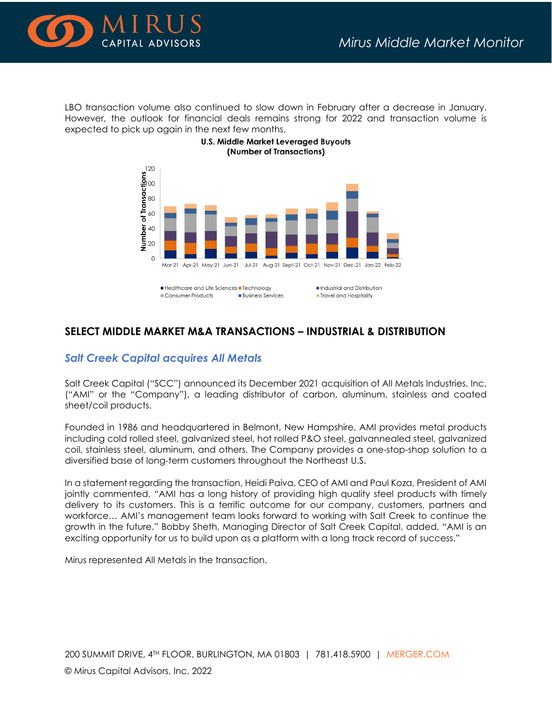

LBO transaction volume also continued to slow down in February after a decrease in January. However, the outlook for financial deals remains strong for 2022 and transaction volume is expected to pick up again in the next few months.



#### **U.S. Middle Market Leveraged Buyouts** (Number of Transactions)

# **SELECT MIDDLE MARKET M&A TRANSACTIONS – INDUSTRIAL & DISTRIBUTION**

**Business Services** 

**Travel and Hospitality** 

#### *Salt Creek Capital acquires All Metals*

Consumer Products

Salt Creek Capital ("SCC") announced its December 2021 acquisition of All Metals Industries, Inc. ("AMI" or the "Company"), a leading distributor of carbon, aluminum, stainless and coated sheet/coil products.

Founded in 1986 and headquartered in Belmont, New Hampshire, AMI provides metal products including cold rolled steel, galvanized steel, hot rolled P&O steel, galvannealed steel, galvanized coil, stainless steel, aluminum, and others. The Company provides a one-stop-shop solution to a diversified base of long-term customers throughout the Northeast U.S.

In a statement regarding the transaction, Heidi Paiva, CEO of AMI and Paul Koza, President of AMI jointly commented, "AMI has a long history of providing high quality steel products with timely delivery to its customers. This is a terrific outcome for our company, customers, partners and workforce… AMI's management team looks forward to working with Salt Creek to continue the growth in the future." Bobby Sheth, Managing Director of Salt Creek Capital, added, "AMI is an exciting opportunity for us to build upon as a platform with a long track record of success."

Mirus represented All Metals in the transaction.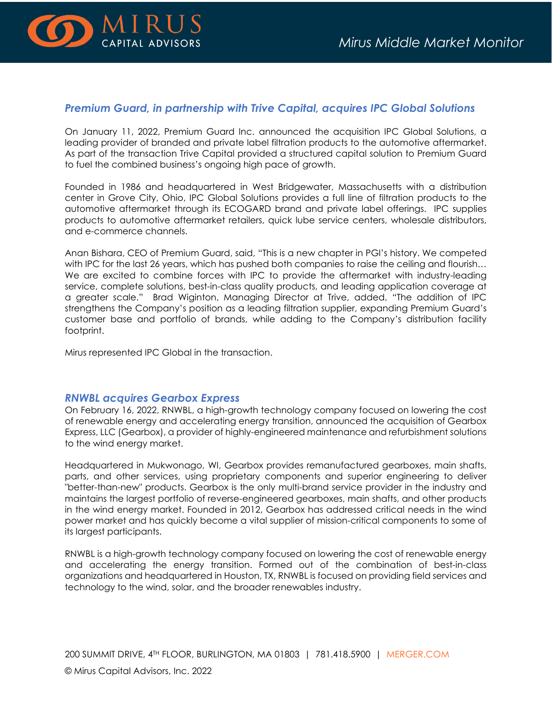

# *Premium Guard, in partnership with Trive Capital, acquires IPC Global Solutions*

On January 11, 2022, Premium Guard Inc. announced the acquisition IPC Global Solutions, a leading provider of branded and private label filtration products to the automotive aftermarket. As part of the transaction Trive Capital provided a structured capital solution to Premium Guard to fuel the combined business's ongoing high pace of growth.

Founded in 1986 and headquartered in West Bridgewater, Massachusetts with a distribution center in Grove City, Ohio, IPC Global Solutions provides a full line of filtration products to the automotive aftermarket through its ECOGARD brand and private label offerings. IPC supplies products to automotive aftermarket retailers, quick lube service centers, wholesale distributors, and e-commerce channels.

Anan Bishara, CEO of Premium Guard, said, "This is a new chapter in PGI's history. We competed with IPC for the last 26 years, which has pushed both companies to raise the ceiling and flourish... We are excited to combine forces with IPC to provide the aftermarket with industry-leading service, complete solutions, best-in-class quality products, and leading application coverage at a greater scale." Brad Wiginton, Managing Director at Trive, added, "The addition of IPC strengthens the Company's position as a leading filtration supplier, expanding Premium Guard's customer base and portfolio of brands, while adding to the Company's distribution facility footprint.

Mirus represented IPC Global in the transaction.

#### *RNWBL acquires Gearbox Express*

On February 16, 2022, RNWBL, a high-growth technology company focused on lowering the cost of renewable energy and accelerating energy transition, announced the acquisition of Gearbox Express, LLC (Gearbox), a provider of highly-engineered maintenance and refurbishment solutions to the wind energy market.

Headquartered in Mukwonago, WI, Gearbox provides remanufactured gearboxes, main shafts, parts, and other services, using proprietary components and superior engineering to deliver "better-than-new" products. Gearbox is the only multi-brand service provider in the industry and maintains the largest portfolio of reverse-engineered gearboxes, main shafts, and other products in the wind energy market. Founded in 2012, Gearbox has addressed critical needs in the wind power market and has quickly become a vital supplier of mission-critical components to some of its largest participants.

RNWBL is a high-growth technology company focused on lowering the cost of renewable energy and accelerating the energy transition. Formed out of the combination of best-in-class organizations and headquartered in Houston, TX, RNWBL is focused on providing field services and technology to the wind, solar, and the broader renewables industry.

200 SUMMIT DRIVE, 4TH FLOOR, BURLINGTON, MA 01803 | 781.418.5900 | [MERGER.COM](http://www.merger.com/) © Mirus Capital Advisors, Inc. 2022